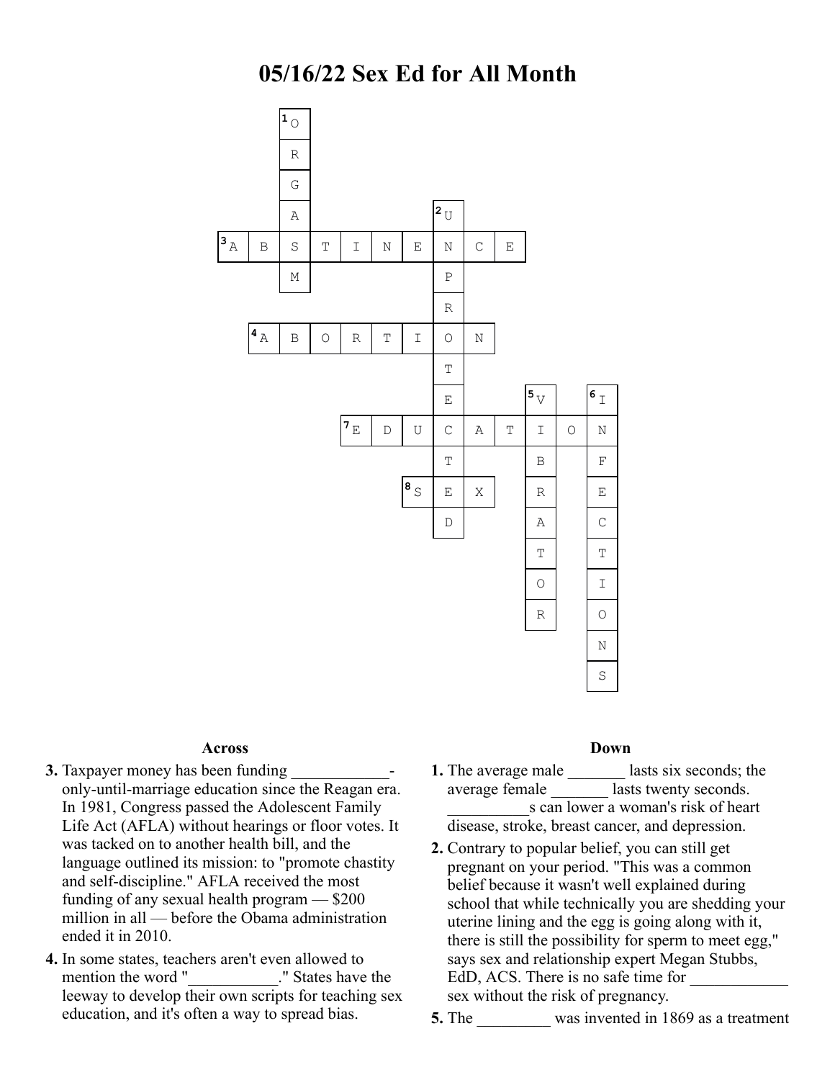

## **Across**

- **3.** Taxpayer money has been funding only-until-marriage education since the Reagan era. In 1981, Congress passed the Adolescent Family Life Act (AFLA) without hearings or floor votes. It was tacked on to another health bill, and the language outlined its mission: to "promote chastity and self-discipline." AFLA received the most funding of any sexual health program — \$200 million in all — before the Obama administration ended it in 2010.
- **4.** In some states, teachers aren't even allowed to mention the word "\_\_\_\_\_\_\_\_\_\_\_." States have the leeway to develop their own scripts for teaching sex education, and it's often a way to spread bias.

## **Down**

- **1.** The average male \_\_\_\_\_\_\_\_ lasts six seconds; the average female **also lasts** twenty seconds. s can lower a woman's risk of heart disease, stroke, breast cancer, and depression.
- **2.** Contrary to popular belief, you can still get pregnant on your period. "This was a common belief because it wasn't well explained during school that while technically you are shedding your uterine lining and the egg is going along with it, there is still the possibility for sperm to meet egg," says sex and relationship expert Megan Stubbs, EdD, ACS. There is no safe time for sex without the risk of pregnancy.
- **5.** The was invented in 1869 as a treatment